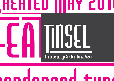





#### A three weight typeface from Michael Parson

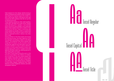Intial research for this design started during a series of entertainment projects where a frustration was arising from having to layout the credits in a strict, narrow grid. Much of the layout work was manual and with typefaces that did not suit the condensed structure.

Tinsel therefore started as a title credit typeface, small width, tall height and a dark stroke. Despite many title being set in capitals, it was decided that for the font to have versatily in use, lowercase letters where needed which led to a series of new directions for the font. Firstly, to obviously add small capitals but equally to add in a superscript styled version that could be used in block text layout to seperate functions, names or any other form of title.

Having worked on the three styles and during the kerning process, the basic ligatures of the font seemed a bit limited in relation to the titling options. The underlined Title version already had a logo feel to it's layout, so why not add in some discretonary ligatures and fixed letter locks that could be inserted in a text to attract attention. A series of words where therefore chosen and inserted along with a host of capitals-lowercase ligatures that allow either eye catching layouts or easy setting titles and logos. trial reasonship to this design, that also design is that is designed a control of the control of the matrix of the specifical matrix of the specifical matrix of the specifical matrix of the control of the specifical matri

The name Tinsel arised during the work on the font as a hommage to the medium of creation and a small hint to the retro styled design that was created. Especially suited for use in larger sizes, the font can be used well in small block text setting or in a condensed layout. Available in three styles, Regular, Capital and Title, Tinsel features a number of ligatures, fractions, and other

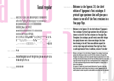#### Tinsel regular

### a y o  $\begin{array}{r} \begin{array}{r}\n \text{R}\n \text{if}\n \end{array}\n \end{array}\n \begin{array}{r}\n \text{if}\n \end{array}\n \begin{array}{r}\n \text{if}\n \end{array}\n \end{array}\n \begin{array}{r}\n \text{if}\n \end{array}\n \begin{array}{r}\n \text{if}\n \end{array}\n \end{array}\n \begin{array}{r}\n \text{if}\n \end{array}\n \begin{array}{r}\n \text{if}\n \end{array}\n \end{array}\n \begin{array}{r}\n \text{if}\n \end{array}\n \begin{array}{r}\n \text{if}\n \end{array}\n \end{$ TINSEL- ISO 1 **A B C D E F G H I J K L M N O P Q R S T U U W X Y Z** a b c d e f g h i j k l m n o p q r s t u v w x y z Æ Œ Å À Ã Ä Á Â È É Ê Ë Ì Í Î Ï Ñ Ò Ó Ô Õ Ö Ù Ú Û Ü Ç Ø & Ł Đ Š Ÿ Ý Ž æ œ á â ã ä å à è é ê ë ì í î ï ı ñ ò ó ô õ ö ù ú û ü ç ø ł š ý ÿ ž ð Þ þ ß 0 1 2 3 4 5 6 7 8 9 @ @ @ <sup>m</sup> £ c \$ \ & f <sup>1 2 3</sup> 1/<sub>4</sub> 1/<sub>2</sub> 3/<sub>4</sub>  $\S^{++}$  ?  $\frac{1}{6}$   $\frac{1}{6}$   $\frac{1}{6}$   $\frac{1}{6}$   $\frac{1}{6}$  + - - - = % %  $\frac{1}{6}$  " " "  $\frac{1}{6}$ "  $\frac{1}{6}$  "  $\frac{1}{10}$  ; : ... • · < ‹ « » › >  $\left[\,\,\left[\,\,\right]\,\right]$   $\left[\,\,\right]$  / - \_ ´ ` " ^ \* \_ ` # [|  $\parallel$  || fi TINSEL - ALTERNATES  $\mathbf{f}_t$  (  $\tau$ msel - LIGATURES **If It Th If Th Ti JTk II fa fb ff ffi ffj ffl fh fj fk fm fn fp fr ft fu** fv fw fx fy fz if it tt TINSEL - DISCRETONARY C<mark>h ck sh sk</mark>

Welcome to the Typecat 3.0, the third edition of Typogama's font catalogue. A printed type specimen that will give you a chance to see all of the font creations in a few page flips. TINSEL REGULAR - 30pt

Welcome to the Typecat 3.0, the third edition of Typogama's TINSEL REGULAR - 21pt

font catalogue. A printed type specimen that will give you a chance to see all of the font creations in a few page flips. Throughout the catalogue, you will revisit some older designs but equaly discover over a dozen new designs that have been brewing in the mill. These new additions expand the current style range with variations from rigid text fonts to wild experimental forms. In addition, certain of the older

Font catalogue. A printed type<br>reations in a few page flips.<br>but equaly discover over a dozen<br>ditions expand the current style<br>ental forms. In addition, certain<br>panded to a display format to<br>t if you wish to have some<br>ntac Welcome to the Typecat 3.0, the third edition of Typogama's font catalogue. A printed type specimen that will give you a chance to see all of the font creations in a few page flips. Throughout the catalogue, you will revisit some older designs but equaly discover over a dozen new designs that have been brewing in the mill. These new additions expand the current style range with variations from rigid text fonts to wild experimental forms. In addition, certain of the older experimental designs have been reviewed and expanded to a display format to further their application. TINSEL REGULAR - 14pt

This typecat is a simple tool to view the overall collection but if you wish to have some further details about a specific design, do not hesitate to contact Typogama directly. We would be pleased to answer any queries & when available, even send you some font specimens.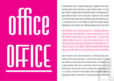# office office

Lorem ipsum dolor sit amet, consectetur adipiscing elit. Suspendisse rutrum, odio et accumsan tempus, mi sem rutrum massa, et auctor nisi nunc non dolor. In et turpis diam. Curabitur ac magna venenatis dui sollicitudin tincidunt. Sed consequat ligula ac magna fermentum feugiat. Fusce eu lacinia ipsum. In consectetur lacus vel sapien cursus molestie. Nullam euismod, neque a sollicitudin suscipit, purus libero luctus est, at tristique lectus massa at turpis. Aliquam ut gravida tortor. Vivamus imperdiet malesuada porta. Proin sed lorem tortor. Pellentesque dignissim iaculis tortor viverra TINSEL REGULAR

Lorem dolor sit amet, consectetur adipiscing elit. Suspendisse rutrum, accumsan tempus, mi sem rutrum massa, et auctor nisi nunc non dolor. In et urpis diam. Curabitur ac magna venenatis dui sollicitudin tincidunt. Sed consequat ligula rermentum reugiat. Fusce eu lacinia ipsum. In consectetur cursus molestie. Nullam euismod, neque a sollicitudin suscipit, purus libero luctus est, at toriuk, utvalijus imperdiet malesijana porta. Proin sed lorem tortor. Pellentesque dignissim iaculis tortor viverra ornare. TINSEL TITLE

ENDISSE AUTRUM, ODIO ET<br>NON DOLOR. IN ET TURPIS<br>C. SED CONSEQUAT LIGULA<br>CTETUR LACUS VEL SAPIEN<br>PIT, PURUS LIBERO LUCTUS<br>RTOR. VIVAMUS IMPERDIET<br>N IACULIS TORTOR VIVERRA<br>MACULIS TORTOR VIVERRA *Lorem ipsum dolor sit amet, consectetur adipiscing elit. Suspendisse rutrum, odio et accumsan tempus, mi sem rutrum massa, et auctor nisi nunc non dolor. In et turpis diam. Curabitur ac magna venenatis dui sollicitudin tincidunt. Sed consequat ligula ac magna fermentum feugiat. Fusce eu lacinia ipsum. In consectetur lacus vel sapien cursus molestie. Nullam euismod, neque a sollicitudin suscipit, purus libero luctus est, at tristique lectus massa at turpis. Aliquam ut gravida tortor. Vivamus imperdiet malesuada porta. Proin sed lorem tortor. Pellentesque dignissim iaculis tortor viverra*  TINSEL CAPITAL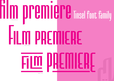

TINSEL TITLE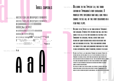#### *Tinsel capitals*

a y o TINSEL CAPITALS PAY **UCLOONE TO THE 1**<br>
FORT CATALOGUS. A<br>
FORT CATALOGUS. A<br>
FOR CATALOGUS. A<br>
TINNOUGHOUT THE CORRECT TO SEE ALL<br>
FOR CATALOGUS. A<br>
TINNOUGHOUT THE CORRECT TO SEE ALL<br>
SESSIGNS BUT EQUAL<br>
THE CURRENT SYPI *A B C D E F G H I J K L M N O P Q R S T U V W X Y Z* TINSEL CAPITALS - ISO 1 *a b c d e f g h i j k l m n o p q r s t u v w x y z Æ Œ Å À Ã Ä Á Â È É Ê Ë Ì Í Î Ï Ñ Ò Ó Ô Õ Ö Ù Ú Û Ü Ç Ø & Ł Đ Š Ÿ Ý Ž æ œ á â ã ä å à è é ê ë ì í î ï ı ñ ò ó ô õ ö ù ú û ü ç ø ł š ý ÿ ž ð Þ þ ß*  0 1 2 3 4 5 6 7 8 9 @ *© m* **f**  $\int$  **c**  $f$  **4**  $f$  **f**  $\int$  <sup>1</sup> <sup>2</sup> <sup>3</sup>  $\frac{1}{4}$   $\frac{3}{4}$  $\left\{ \begin{array}{c} 0 \end{array} \right.$   $\left\{ \begin{array}{c} i \end{array} \right\}$   $\left\{ \begin{array}{c} i \end{array} \right\}$   $\left\{ \begin{array}{c} i \end{array} \right\}$   $\left\{ \begin{array}{c} i \end{array} \right\}$   $\left\{ \begin{array}{c} i \end{array} \right\}$   $\left\{ \begin{array}{c} i \end{array} \right\}$   $\left\{ \begin{array}{c} i \end{array} \right\}$ *· < ‹ « » › > [ ] ( ) { } ⁄ - \_ ´ ` ˝ ˆ ˇ ¸ ˛ ¨ # ¶ fl fi & @* TINSEL CAPITALS - ALTERNATES *a* a A

#### *Welcome to the Typecat 3.0, the third edition of Typogama's font catalogue. A printed type specimen that will give you a chance to see all of the font creations in a few page flips.* TINSEL CAPITALS - 30pt

*Welcome to the Typecat 3.0, the third edition of Typogama's*  TINSEL CAPITALS - 21pt

> *font catalogue. A printed type specimen that will give you a chance to see all of the font creations in a few page flips. Throughout the catalogue, you will revisit some older designs but equaly discover over a dozen new designs that have been brewing in the mill. These new additions expand the current style range with variations from rigid text fonts to wild experimental forms. In addition, certain of the older*

TONT CATALOGUE. A PRINTED TYPE<br>TREATIONS IN A FEW PAGE FLIPS.<br>IS BUT EQUALY DISCOVER OVER A<br>TEW ADDITIONS EXPAND THE CURRENT<br>ERIMENTAL FORMS. IN ADDITION,<br>AND EXPANDED TO A DISPLAY<br>BUT IF YOU WISH TO HAVE SOME<br>VEN TEND YOU *Welcome to the Typecat 3.0, the third edition of Typogama's font catalogue. A printed type specimen that will give you a chance to see all of the font creations in a few page flips. Throughout the catalogue, you will revisit some older designs but equaly discover over a dozen new designs that have been brewing in the mill. These new additions expand the current style range with variations from rigid text fonts to wild experimental forms. In addition, certain of the older experimental designs have been reviewed and expanded to a display format to further their application.*  $TINSEL$  CAPITALS - 14

*This typecat is a simple tool to view the overall collection but if you wish to have some further details about a specific design, do not hesitate to contact Typogama directly. We would be pleased to answer any queries & when available, even send you some font specimens.*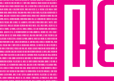INEM IPJUM DOLOR JIT AMET, CONJECTETUR ADIPIJGING ELIT. JUJPENDIJJE RUTRUM, ODIO ET AGGUNJAN TEMPUJ, MI <u>iasa, et auctor nisi nunc non dolor. In et turpis diam. Curabitur ac magna venenatis dui sollicitudin ti</u> <u>onsequat ugula ac magna fermentum feugiat. Fusce eu lacinia ipsum. In consectetur lacus vel sapien curs</u> Nullam euismod, neque a sollicitudin suscipit, purus libero luctus est, at tristique lectus massa at turpis. Aliquam ut <u>ravida tortor. Vivamus imperdiet malesuada porta. Proin sed lorem tortor. Pellentesque dignissim iaculis to</u> <u>rnare. Maecenas a venenatis libero. Vestibulum ultricies massa id ante fermentum in blandit nulla sodi</u> <u>empor, lacus vel euismod bibendum, tortor massa sodales dui, eget fermentum ante tortor id sem. Aenei </u> <u>iolestie placerat. Nunc eu laoreet elit. Aliquam vel luctus diam. In porta cursus enim et sagittis. Suspei</u> i <u>lcinia metus. Phasellus consequat accumsan arcu mattis mattis. Fusce lorem turpis, suscipit nec fei</u> <u>iattis at mauris. Sed varius, lectus nec sodales convallis, felis erat dignisim dolor, non hendrerit li</u> <u>iagna. Aenean id est vel est interdum dignissim sed ut urna. Vivamus vel tincidunt velit. Fusce feugiat i </u> <u>orttitor. Duis nec feus tortor. Quisque id purus veut. Nulla vitae diam turpis, sit amet pretium leo. Dui:</u> <u>ellentesque in consectetur a, venenatis sed purus. Morbi nec lorem sem. Quisque nec libero id risus var</u> <u>DREM IPSUM DOLOR SIT AMET, CONSECTETUR ADIPISCING ELIT. NAM NULLA LACUS, ULTRICIES A TINCIDUNT VITAE, PULVII</u> <u>USCE PLACERAT NIBH ET TURPIS LUCTUS AT VIVERRA AUGUE ADIPISCING. SED VOLUTPAT NISL NON LEO PRETIUM SEI</u> <u>uis odio at ipsum ultrices posuere quis vitae orci. Quisque venenatis pharetra orci vehicula dapibus. Ma</u> <u>onvallis elementum. Maecenas venenatis nisi quis nibh interdum lacinia quis eu sapien. Donec viverra bib</u> <u>it amet porta tellus luctus sed. Duis ac arcu felis. Suspendisse potenti. Pellentesque ante nulla, dictum fac</u>i <u>uis, lobortis et ligula. Morbi eleifend nisi nec arcu laoreet at pharetra augue condimentum. Nunc ut enim</u> <u>ondimentum accumsan. Pellentesque vel augue sed turpis hendrerit malesuada. Mauris et nisi urna. Na</u> <u>uctor nunc, eget vestibulum risus sodales vitae. Maecenas sit amet ipsum mauris, in scelerisque purus.</u> <u>ictus, ultricies ut porta a, placerat vitae neque. Quisque facilisis velit vel neque bibendum vel mollis li</u> <u>LASS APTENT TACITI SOCIOSQU AD LITORA TORQUENT PER CONUBIA NOSTRA, PER INCEPTOS HIMENAEOS. ETIAM TINCIDI</u> <u>iauris eleifend ornare. Donec sit amet sem dui. Aliquam erat volutpat. Pellentesque eget odio justo. I</u>i <u>nte, lacinia ut dapibus quis, molestie vel felis. Quisque et massa lacus, sed pharetra elit. Donec venent</u> libero tincidum accumusan accumusan accumusan accumusan. Curabitur de l'arresta de l'arresta de l'arresta de l'<br>de l'arresta de l'arresta de l'arresta de l'arresta de l'arresta de l'arresta de l'arresta de l'arresta de l'

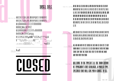

ABCDEFGHIJKLMNOPQRSTUUWXVZ  $\underline{A} \underline{B} \underline{C} \underline{D} \underline{C} \underline{F} \underline{C} \underline{H} \underline{I} \underline{J} \underline{R} \underline{L} \underline{m} \underline{n} \underline{D} \underline{D} \underline{Q} \underline{R} \underline{S} \underline{T} \underline{U} \underline{U} \underline{W} \underline{W} \underline{Y} \underline{Z}$ ÆŒÅÀÃÄÁÂÈÉÊËÌÍÎÏÑÒÓÔÕÖ Ù Ú Û Ü Ç Ø & Ł Ð Š Ÿ Ý Ž  $\underline{\mathbf{F}}\ \underline{\mathbf{F}}\ \underline{\mathbf{f}}\ \underline{\mathbf{f}}\ \underline{\mathbf{f}}\ \underline{\mathbf{f}}\ \underline{\mathbf{f}}\ \underline{\mathbf{f}}\ \underline{\mathbf{f}}\ \underline{\mathbf{f}}\ \underline{\mathbf{f}}\ \underline{\mathbf{f}}\ \underline{\mathbf{f}}\ \underline{\mathbf{f}}\ \underline{\mathbf{f}}\ \underline{\mathbf{f}}\ \underline{\mathbf{f}}\ \underline{\mathbf{f}}\ \underline{\mathbf{f}}\ \underline{\mathbf{f}}\ \underline{\mathbf{f}}\ \underline{\mathbf{f}}\ \underline{\mathbf{f}}\ \underline{\mathbf{f}}\ \underline{\$ <u>Ù U Û Ü Ç Ø Ł Š Ý Ÿ Ž ð Þ þ h</u> : < < <u>« » > ></u> = [ ] [ ] { } / <u>-</u> \_ ´ ` " ^ \* <sub>, s</sub> \_ " # q <u>II</u> <u>II</u>

TINSEL TITLE **Le 0 !** AI TERNATES



AB AC AD AE AF AH AI AK AL AM AN AO AP AQ AR AS AT AU AV TINSEL TITLE - I IGATI IRE <u>IM IA IA IT ET LE ET ET ET ET ET ET ET ET ET ET IT ET IT ET IT ET IT ET IT ET IT ET IT ET IT ET IT ET IT ET I</u> <u>IF IO IT IN IX WY WG WG WO WE WE WG WH WI WI WK WF WW</u> <u>mo mo me ma ma ms mt mu mu mu mx my mz na nc ne</u> <u>JE JE VA VI VO VO VO VA VA VA VO VO VO VO VE VA VI VO VI</u> <u>HE RU RY SI TA TO TE TA TI TE TO TO TO TY 7A ZE ZH ZI ZO ZU</u>  $\P$   $\mathbb F$ 

#### $\overline{\mathfrak{g}}$  and  $\overline{\mathfrak{g}}$  and  $\overline{\mathfrak{g}}$  and  $\overline{\mathfrak{g}}$  and  $\overline{\mathfrak{g}}$  and  $\overline{\mathfrak{g}}$  and  $\overline{\mathfrak{g}}$  and  $\overline{\mathfrak{g}}$  and  $\overline{\mathfrak{g}}$  and  $\overline{\mathfrak{g}}$  and  $\overline{\mathfrak{g}}$  and  $\overline{\mathfrak{g}}$  and  $\overline{\mathfrak{g}}$  and **TINSEL TIT** DISCRETONARY LIGATURE TS TTA TTI TTE TTO TTY TO TY TZ OT YT

<u>THE AM AND BUY BY CET CLOSED DE DES DUD EN END EST ET FILM</u> **TINSEL TIT** STYLISTIC ALTERNATI **FROM HOW IF IL ILS IN IS IT LE LES NEW NOW OF OPEN PM SHOW START STOP THAT THE THEM THEM THEY TO UN UND UNE WHAT WHY WITH WITH YOU YOUR** 

#### WELCOME TO THE TYPECAT 3.0, THE THIRD EDITION TINSEL TITLE - 21 OF TYPOGAMA'S FONT CATALOGUE. A PRINTED TYPE SPECIMEN THAT WILL GIVE YOU A CHANCE TO SEE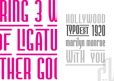

## **PPOEST 1920** H. monroe marilyn